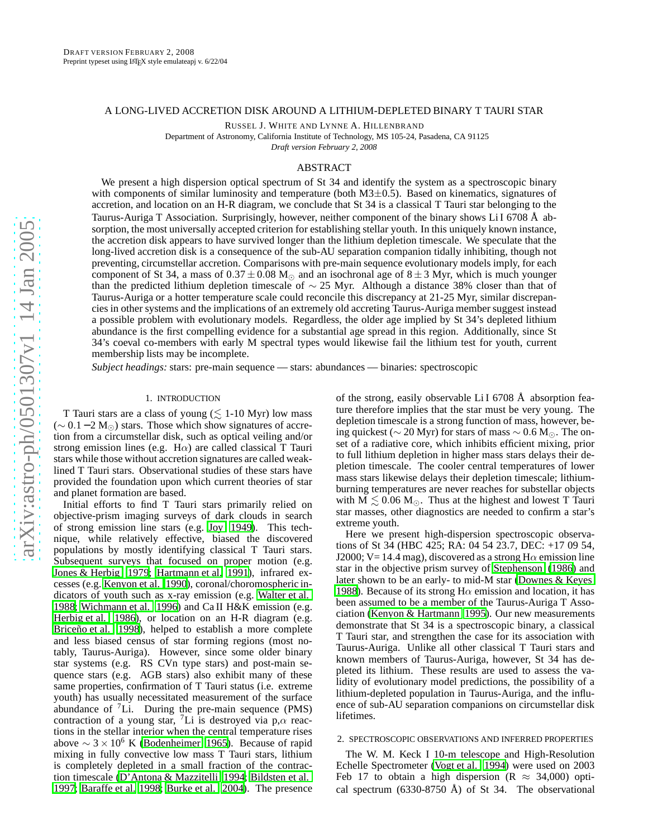# A LONG-LIVED ACCRETION DISK AROUND A LITHIUM-DEPLETED BINARY T TAURI STAR

RUSSEL J. WHITE AND LYNNE A. HILLENBRAND

Department of Astronomy, California Institute of Technology, MS 105-24, Pasadena, CA 91125

*Draft version February 2, 2008*

# ABSTRACT

We present a high dispersion optical spectrum of St 34 and identify the system as a spectroscopic binary with components of similar luminosity and temperature (both M3±0.5). Based on kinematics, signatures of accretion, and location on an H-R diagram, we conclude that St 34 is a classical T Tauri star belonging to the Taurus-Auriga T Association. Surprisingly, however, neither component of the binary shows Li I 6708 Å absorption, the most universally accepted criterion for establishing stellar youth. In this uniquely known instance, the accretion disk appears to have survived longer than the lithium depletion timescale. We speculate that the long-lived accretion disk is a consequence of the sub-AU separation companion tidally inhibiting, though not preventing, circumstellar accretion. Comparisons with pre-main sequence evolutionary models imply, for each component of St 34, a mass of  $0.37 \pm 0.08$  M<sub> $\odot$ </sub> and an isochronal age of  $8 \pm 3$  Myr, which is much younger than the predicted lithium depletion timescale of ∼ 25 Myr. Although a distance 38% closer than that of Taurus-Auriga or a hotter temperature scale could reconcile this discrepancy at 21-25 Myr, similar discrepancies in other systems and the implications of an extremely old accreting Taurus-Auriga member suggest instead a possible problem with evolutionary models. Regardless, the older age implied by St 34's depleted lithium abundance is the first compelling evidence for a substantial age spread in this region. Additionally, since St 34's coeval co-members with early M spectral types would likewise fail the lithium test for youth, current membership lists may be incomplete.

*Subject headings:* stars: pre-main sequence — stars: abundances — binaries: spectroscopic

### 1. INTRODUCTION

T Tauri stars are a class of young ( $\lesssim$  1-10 Myr) low mass ( $\sim$  0.1 − 2 M<sub>☉</sub>) stars. Those which show signatures of accretion from a circumstellar disk, such as optical veiling and/or strong emission lines (e.g.  $H\alpha$ ) are called classical T Tauri stars while those without accretion signatures are called weaklined T Tauri stars. Observational studies of these stars have provided the foundation upon which current theories of star and planet formation are based.

Initial efforts to find T Tauri stars primarily relied on objective-prism imaging surveys of dark clouds in search of strong emission line stars (e.g. [Joy 1949\)](#page-3-0). This technique, while relatively effective, biased the discovered populations by mostly identifying classical T Tauri stars. Subsequent surveys that focused on proper motion (e.g. [Jones & Herbig 1979;](#page-3-1) [Hartmann et al. 1991\)](#page-3-2), infrared excesses (e.g. [Kenyon et al. 1990\)](#page-3-3), coronal/choromospheric indicators of youth such as x-ray emission (e.g. [Walter et al.](#page-3-4) [1988;](#page-3-4) [Wichmann et al. 1996\)](#page-3-5) and Ca II H&K emission (e.g. [Herbig et al. 1986](#page-3-6)), or location on an H-R diagram (e.g. [Briceño et al. 1998\)](#page-3-7), helped to establish a more complete and less biased census of star forming regions (most notably, Taurus-Auriga). However, since some older binary star systems (e.g. RS CVn type stars) and post-main sequence stars (e.g. AGB stars) also exhibit many of these same properties, confirmation of T Tauri status (i.e. extrem e youth) has usually necessitated measurement of the surface abundance of  ${}^{7}$ Li. During the pre-main sequence (PMS) contraction of a young star, <sup>7</sup>Li is destroyed via  $p,\alpha$  reactions in the stellar interior when the central temperature rises above  $\sim$  3 × 10<sup>6</sup> K [\(Bodenheimer 1965\)](#page-3-8). Because of rapid mixing in fully convective low mass T Tauri stars, lithium is completely depleted in a small fraction of the contraction timescale [\(D'Antona & Mazzitelli 1994](#page-3-9); [Bildsten et al.](#page-3-10) [1997;](#page-3-10) [Baraffe et al. 1998;](#page-3-11) [Burke et al. 2004](#page-3-12)). The presence

of the strong, easily observable Li I 6708 Å absorption feature therefore implies that the star must be very young. The depletion timescale is a strong function of mass, however, being quickest ( $\sim$  20 Myr) for stars of mass  $\sim$  0.6 M<sub>⊙</sub>. The onset of a radiative core, which inhibits efficient mixing, prior to full lithium depletion in higher mass stars delays their depletion timescale. The cooler central temperatures of lower mass stars likewise delays their depletion timescale; lithiumburning temperatures are never reaches for substellar objects with  $M \lesssim 0.06 M_{\odot}$ . Thus at the highest and lowest T Tauri star masses, other diagnostics are needed to confirm a star's extreme youth.

Here we present high-dispersion spectroscopic observations of St 34 (HBC 425; RA: 04 54 23.7, DEC: +17 09 54, J2000; V= 14.4 mag), discovered as a strong H $\alpha$  emission line star in the objective prism survey of [Stephenson \(1986](#page-3-13)) and later shown to be an early- to mid-M star [\(Downes & Keyes](#page-3-14) [1988\)](#page-3-14). Because of its strong H $\alpha$  emission and location, it has been assumed to be a member of the Taurus-Auriga T Association [\(Kenyon & Hartmann 1995](#page-3-15)). Our new measurements demonstrate that St 34 is a spectroscopic binary, a classica l T Tauri star, and strengthen the case for its association wit h Taurus-Auriga. Unlike all other classical T Tauri stars and known members of Taurus-Auriga, however, St 34 has depleted its lithium. These results are used to assess the validity of evolutionary model predictions, the possibility of a lithium-depleted population in Taurus-Auriga, and the influence of sub-AU separation companions on circumstellar disk lifetimes.

### 2. SPECTROSCOPIC OBSERVATIONS AND INFERRED PROPERTIES

The W. M. Keck I 10-m telescope and High-Resolution Echelle Spectrometer [\(Vogt et al. 1994\)](#page-3-16) were used on 2003 Feb 17 to obtain a high dispersion ( $R \approx 34,000$ ) optical spectrum (6330-8750 Å) of St 34. The observational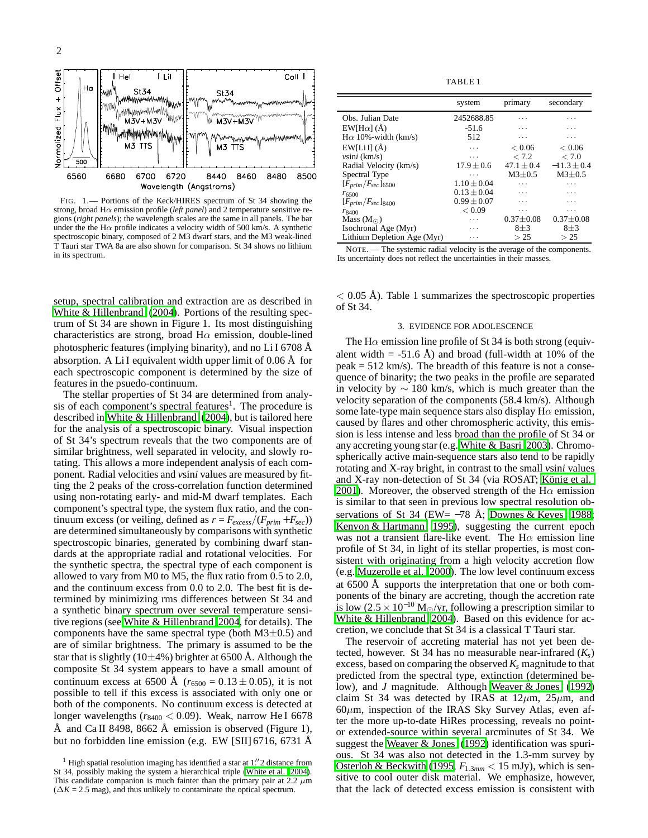

FIG. 1.— Portions of the Keck/HIRES spectrum of St 34 showing the strong, broad Hα emission profile (*left panel*) and 2 temperature sensitive regions (*right panels*); the wavelength scales are the same in all panels. The bar under the the H $\alpha$  profile indicates a velocity width of 500 km/s. A synthetic spectroscopic binary, composed of 2 M3 dwarf stars, and the M3 weak-lined T Tauri star TWA 8a are also shown for comparison. St 34 shows no lithium in its spectrum.

setup, spectral calibration and extraction are as described in [White & Hillenbrand \(2004](#page-3-17)). Portions of the resulting spectrum of St 34 are shown in Figure 1. Its most distinguishing characteristics are strong, broad  $H\alpha$  emission, double-lined photospheric features (implying binarity), and no Li I 6708 Å absorption. A Li I equivalent width upper limit of 0.06 Å for each spectroscopic component is determined by the size of features in the psuedo-continuum.

The stellar properties of St 34 are determined from analysis of each component's spectral features<sup>1</sup>. The procedure is described in [White & Hillenbrand](#page-3-17) [\(2004\)](#page-3-17), but is tailored here for the analysis of a spectroscopic binary. Visual inspection of St 34's spectrum reveals that the two components are of similar brightness, well separated in velocity, and slowly rotating. This allows a more independent analysis of each component. Radial velocities and *v*sin*i* values are measured by fitting the 2 peaks of the cross-correlation function determined using non-rotating early- and mid-M dwarf templates. Each component's spectral type, the system flux ratio, and the continuum excess (or veiling, defined as  $r = F_{excess}/(F_{prim} + F_{sec})$ ) are determined simultaneously by comparisons with synthetic spectroscopic binaries, generated by combining dwarf standards at the appropriate radial and rotational velocities. For the synthetic spectra, the spectral type of each component is allowed to vary from M0 to M5, the flux ratio from 0.5 to 2.0, and the continuum excess from 0.0 to 2.0. The best fit is determined by minimizing rms differences between St 34 and a synthetic binary spectrum over several temperature sensitive regions (see [White & Hillenbrand 2004,](#page-3-17) for details). The components have the same spectral type (both  $M3\pm0.5$ ) and are of similar brightness. The primary is assumed to be the star that is slightly (10 $\pm$ 4%) brighter at 6500 Å. Although the composite St 34 system appears to have a small amount of continuum excess at 6500 Å ( $r_{6500} = 0.13 \pm 0.05$ ), it is not possible to tell if this excess is associated with only one or both of the components. No continuum excess is detected at longer wavelengths ( $r_{8400}$  < 0.09). Weak, narrow He I 6678 Å and Ca II 8498, 8662 Å emission is observed (Figure 1), but no forbidden line emission (e.g. EW [SII] 6716, 6731 Å

TABLE 1

|                             | system          | primary         | secondary       |
|-----------------------------|-----------------|-----------------|-----------------|
| Obs. Julian Date            | 2452688.85      | .               | .               |
| $EW[H\alpha]$ (Å)           | $-51.6$         | .               | .               |
| $H\alpha$ 10%-width (km/s)  | 512             | .               | .               |
| $EW[Li][(\AA)]$             | .               | ${}_{< 0.06}$   | ${}_{< 0.06}$   |
| $v\sin i$ (km/s)            | .               | < 7.2           | < 7.0           |
| Radial Velocity (km/s)      | $17.9 \pm 0.6$  | $47.1 + 0.4$    | $-11.3 \pm 0.4$ |
| Spectral Type               | .               | $M3+0.5$        | $M3\pm0.5$      |
| $[F_{prim}/F_{sec}]_{6500}$ | $1.10 \pm 0.04$ | .               | .               |
| $r_{6500}$                  | $0.13 \pm 0.04$ | .               | .               |
| $[F_{prim}/F_{sec}]_{8400}$ | $0.99 + 0.07$   | .               | .               |
| $r_{8400}$                  | < 0.09          | .               | .               |
| Mass $(M_{\odot})$          | .               | $0.37 \pm 0.08$ | $0.37 \pm 0.08$ |
| Isochronal Age (Myr)        | .               | $8 + 3$         | $8\pm3$         |
| Lithium Depletion Age (Myr) | .               | > 25            | > 25            |

NOTE. — The systemic radial velocity is the average of the components. Its uncertainty does not reflect the uncertainties in their masses.

 $< 0.05$  Å). Table 1 summarizes the spectroscopic properties of St 34.

#### 3. EVIDENCE FOR ADOLESCENCE

The H $\alpha$  emission line profile of St 34 is both strong (equivalent width  $=$  -51.6 Å) and broad (full-width at 10% of the  $peak = 512$  km/s). The breadth of this feature is not a consequence of binarity; the two peaks in the profile are separated in velocity by  $\sim$  180 km/s, which is much greater than the velocity separation of the components (58.4 km/s). Although some late-type main sequence stars also display  $H\alpha$  emission, caused by flares and other chromospheric activity, this emission is less intense and less broad than the profile of St 34 or any accreting young star (e.g. [White & Basri 2003\)](#page-3-19). Chromospherically active main-sequence stars also tend to be rapidly rotating and X-ray bright, in contrast to the small *v*sin*i* values and X-ray non-detection of St 34 (via ROSAT; [König et al.](#page-3-20) [2001\)](#page-3-20). Moreover, the observed strength of the H $\alpha$  emission is similar to that seen in previous low spectral resolution observations of St 34 (EW=  $-78$  Å; [Downes & Keyes 1988](#page-3-14); [Kenyon & Hartmann 1995\)](#page-3-15), suggesting the current epoch was not a transient flare-like event. The H $\alpha$  emission line profile of St 34, in light of its stellar properties, is most consistent with originating from a high velocity accretion flow (e.g. [Muzerolle et al. 2000\)](#page-3-21). The low level continuum excess at 6500 Å supports the interpretation that one or both components of the binary are accreting, though the accretion rate is low (2.5 × 10<sup>-10</sup> M<sub>☉</sub>/yr, following a prescription similar to [White & Hillenbrand 2004\)](#page-3-17). Based on this evidence for accretion, we conclude that St 34 is a classical T Tauri star.

The reservoir of accreting material has not yet been detected, however. St 34 has no measurable near-infrared  $(K_s)$ excess, based on comparing the observed  $K_s$  magnitude to that predicted from the spectral type, extinction (determined below), and *J* magnitude. Although [Weaver & Jones](#page-3-22) [\(1992\)](#page-3-22) claim St 34 was detected by IRAS at  $12\mu$ m,  $25\mu$ m, and  $60\mu$ m, inspection of the IRAS Sky Survey Atlas, even after the more up-to-date HiRes processing, reveals no pointor extended-source within several arcminutes of St 34. We suggest the [Weaver & Jones](#page-3-22) [\(1992\)](#page-3-22) identification was spurious. St 34 was also not detected in the 1.3-mm survey by [Osterloh & Beckwith](#page-3-23) [\(1995,](#page-3-23) *F*1.3*mm* < 15 mJy), which is sensitive to cool outer disk material. We emphasize, however, that the lack of detected excess emission is consistent with

 $1$  High spatial resolution imaging has identified a star at  $1\rlap{.}^{\prime\prime}2$  distance from St 34, possibly making the system a hierarchical triple [\(White et al. 2004](#page-3-18)). This candidate companion is much fainter than the primary pair at 2.2  $\mu$ m  $(\Delta K = 2.5 \text{ mag})$ , and thus unlikely to contaminate the optical spectrum.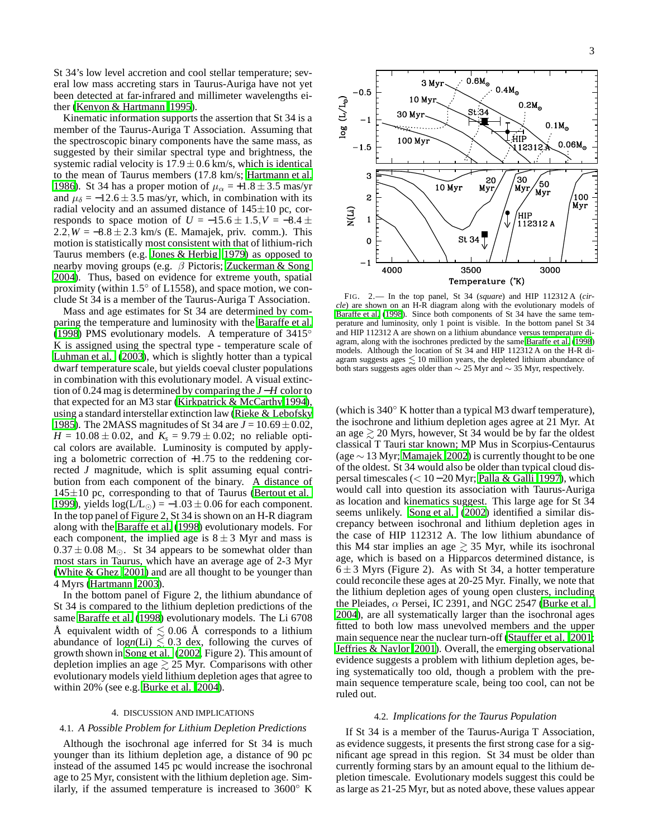St 34's low level accretion and cool stellar temperature; several low mass accreting stars in Taurus-Auriga have not yet been detected at far-infrared and millimeter wavelengths either [\(Kenyon & Hartmann 1995\)](#page-3-15).

Kinematic information supports the assertion that St 34 is a member of the Taurus-Auriga T Association. Assuming that the spectroscopic binary components have the same mass, as suggested by their similar spectral type and brightness, the systemic radial velocity is  $17.9 \pm 0.6$  km/s, which is identical to the mean of Taurus members (17.8 km/s; [Hartmann et al.](#page-3-24) [1986\)](#page-3-24). St 34 has a proper motion of  $\mu_{\alpha} = +1.8 \pm 3.5$  mas/yr and  $\mu_{\delta} = -12.6 \pm 3.5$  mas/yr, which, in combination with its radial velocity and an assumed distance of  $145\pm10$  pc, corresponds to space motion of  $U = -15.6 \pm 1.5$ ,  $V = -8.4 \pm 1.5$  $2.2, W = -8.8 \pm 2.3$  km/s (E. Mamajek, priv. comm.). This motion is statistically most consistent with that of lithium-rich Taurus members (e.g. [Jones & Herbig 1979\)](#page-3-1) as opposed to nearby moving groups (e.g. β Pictoris; [Zuckerman & Song](#page-4-0) [2004\)](#page-4-0). Thus, based on evidence for extreme youth, spatial proximity (within 1.5° of L1558), and space motion, we conclude St 34 is a member of the Taurus-Auriga T Association.

Mass and age estimates for St 34 are determined by comparing the temperature and luminosity with the [Baraffe et al.](#page-3-11) [\(1998](#page-3-11)) PMS evolutionary models. A temperature of  $3415^\circ$ K is assigned using the spectral type - temperature scale of [Luhman et al. \(2003](#page-3-25)), which is slightly hotter than a typical dwarf temperature scale, but yields coeval cluster populations in combination with this evolutionary model. A visual extinction of 0.24 mag is determined by comparing the *J*−*H* color to that expected for an M3 star [\(Kirkpatrick & McCarthy 1994\)](#page-3-26), using a standard interstellar extinction law [\(Rieke & Lebofsky](#page-3-27) [1985\)](#page-3-27). The 2MASS magnitudes of St 34 are  $J = 10.69 \pm 0.02$ ,  $H = 10.08 \pm 0.02$ , and  $K_s = 9.79 \pm 0.02$ ; no reliable optical colors are available. Luminosity is computed by applying a bolometric correction of  $+1.75$  to the reddening corrected *J* magnitude, which is split assuming equal contribution from each component of the binary. A distance of  $145±10$  pc, corresponding to that of Taurus [\(Bertout et al.](#page-3-28) [1999\)](#page-3-28), yields  $log(L/L_{\odot}) = -1.03 \pm 0.06$  for each component. In the top panel of Figure 2, St 34 is shown on an H-R diagram along with the [Baraffe et al. \(1998](#page-3-11)) evolutionary models. For each component, the implied age is  $8 \pm 3$  Myr and mass is  $0.37 \pm 0.08$  M<sub> $\odot$ </sub>. St 34 appears to be somewhat older than most stars in Taurus, which have an average age of 2-3 Myr [\(White & Ghez 2001](#page-3-29)) and are all thought to be younger than 4 Myrs [\(Hartmann 2003\)](#page-3-30).

In the bottom panel of Figure 2, the lithium abundance of St 34 is compared to the lithium depletion predictions of the same [Baraffe et al.](#page-3-11) [\(1998\)](#page-3-11) evolutionary models. The Li 6708 Å equivalent width of  $\leq 0.06$  Å corresponds to a lithium abundance of  $log n(Li) \leq 0.3$  dex, following the curves of growth shown in [Song et al. \(2002,](#page-3-31) Figure 2). This amount of depletion implies an age  $\geq$  25 Myr. Comparisons with other evolutionary models yield lithium depletion ages that agree to within 20% (see e.g. [Burke et al. 2004\)](#page-3-12).

#### 4. DISCUSSION AND IMPLICATIONS

#### 4.1. *A Possible Problem for Lithium Depletion Predictions*

Although the isochronal age inferred for St 34 is much younger than its lithium depletion age, a distance of 90 pc instead of the assumed 145 pc would increase the isochronal age to 25 Myr, consistent with the lithium depletion age. Similarly, if the assumed temperature is increased to  $3600°$  K



FIG. 2.— In the top panel, St 34 (*square*) and HIP 112312 A (*circle*) are shown on an H-R diagram along with the evolutionary models of [Baraffe et al. \(1998](#page-3-11)). Since both components of St 34 have the same temperature and luminosity, only 1 point is visible. In the bottom panel St 34 and HIP 112312 A are shown on a lithium abundance versus temperature diagram, along with the isochrones predicted by the same [Baraffe et al. \(1998](#page-3-11)) models. Although the location of St 34 and HIP 112312 A on the H-R diagram suggests ages  $\leq 10$  million years, the depleted lithium abundance of both stars suggests ages older than  $\sim$  25 Myr and  $\sim$  35 Myr, respectively.

(which is 340◦ K hotter than a typical M3 dwarf temperature), the isochrone and lithium depletion ages agree at 21 Myr. At an age  $\geq 20$  Myrs, however, St 34 would be by far the oldest classical T Tauri star known; MP Mus in Scorpius-Centaurus (age ∼ 13 Myr; [Mamajek 2002](#page-3-32)) is currently thought to be one of the oldest. St 34 would also be older than typical cloud dispersal timescales (< 10−20 Myr; [Palla & Galli 1997\)](#page-3-33), which would call into question its association with Taurus-Auriga as location and kinematics suggest. This large age for St 34 seems unlikely. [Song et al. \(2002](#page-3-31)) identified a similar discrepancy between isochronal and lithium depletion ages in the case of HIP 112312 A. The low lithium abundance of this M4 star implies an age  $\geq$  35 Myr, while its isochronal age, which is based on a Hipparcos determined distance, is  $6 \pm 3$  Myrs (Figure 2). As with St 34, a hotter temperature could reconcile these ages at 20-25 Myr. Finally, we note that the lithium depletion ages of young open clusters, including the Pleiades,  $\alpha$  Persei, IC 2391, and NGC 2547 [\(Burke et al.](#page-3-12) [2004\)](#page-3-12), are all systematically larger than the isochronal ages fitted to both low mass unevolved members and the upper main sequence near the nuclear turn-off [\(Stauffer et al. 2001](#page-3-34); [Jeffries & Naylor 2001\)](#page-3-35). Overall, the emerging observational evidence suggests a problem with lithium depletion ages, being systematically too old, though a problem with the premain sequence temperature scale, being too cool, can not be ruled out.

#### 4.2. *Implications for the Taurus Population*

If St 34 is a member of the Taurus-Auriga T Association, as evidence suggests, it presents the first strong case for a significant age spread in this region. St 34 must be older than currently forming stars by an amount equal to the lithium depletion timescale. Evolutionary models suggest this could be as large as 21-25 Myr, but as noted above, these values appear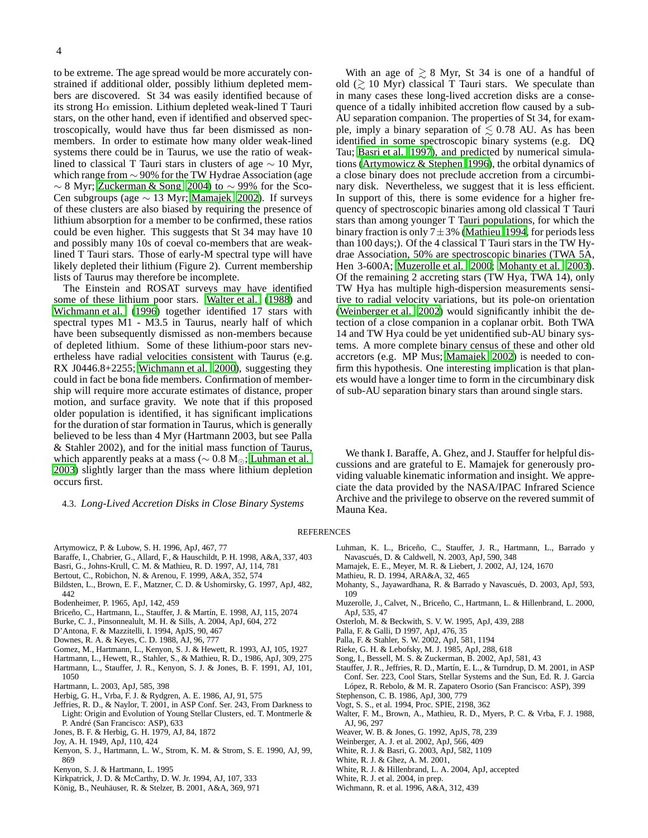to be extreme. The age spread would be more accurately constrained if additional older, possibly lithium depleted members are discovered. St 34 was easily identified because of its strong H $\alpha$  emission. Lithium depleted weak-lined T Tauri stars, on the other hand, even if identified and observed spectroscopically, would have thus far been dismissed as nonmembers. In order to estimate how many older weak-lined systems there could be in Taurus, we use the ratio of weaklined to classical T Tauri stars in clusters of age  $\sim 10$  Myr, which range from ∼ 90% for the TW Hydrae Association (age  $\sim$  8 Myr; [Zuckerman & Song 2004\)](#page-4-0) to  $\sim$  99% for the Sco-Cen subgroups (age  $\sim$  13 Myr; [Mamajek 2002](#page-3-32)). If surveys of these clusters are also biased by requiring the presence of lithium absorption for a member to be confirmed, these ratios could be even higher. This suggests that St 34 may have 10 and possibly many 10s of coeval co-members that are weaklined T Tauri stars. Those of early-M spectral type will have likely depleted their lithium (Figure 2). Current membership lists of Taurus may therefore be incomplete.

The Einstein and ROSAT surveys may have identified some of these lithium poor stars. [Walter et al.](#page-3-4) [\(1988\)](#page-3-4) and [Wichmann et al. \(1996\)](#page-3-5) together identified 17 stars with spectral types M1 - M3.5 in Taurus, nearly half of which have been subsequently dismissed as non-members because of depleted lithium. Some of these lithium-poor stars nevertheless have radial velocities consistent with Taurus (e.g. RX J0446.8+2255; [Wichmann et al. 2000\)](#page-4-1), suggesting they could in fact be bona fide members. Confirmation of membership will require more accurate estimates of distance, proper motion, and surface gravity. We note that if this proposed older population is identified, it has significant implications for the duration of star formation in Taurus, which is generally believed to be less than 4 Myr (Hartmann 2003, but see Palla & Stahler 2002), and for the initial mass function of Taurus, which apparently peaks at a mass ( $\sim 0.8 \text{ M}_{\odot}$ ; [Luhman et al.](#page-3-25) [2003\)](#page-3-25) slightly larger than the mass where lithium depletion occurs first.

4.3. *Long-Lived Accretion Disks in Close Binary Systems*

With an age of  $\geq 8$  Myr, St 34 is one of a handful of old  $($   $\geq$  10 Myr) classical T Tauri stars. We speculate than in many cases these long-lived accretion disks are a consequence of a tidally inhibited accretion flow caused by a sub-AU separation companion. The properties of St 34, for example, imply a binary separation of  $\leq 0.78$  AU. As has been identified in some spectroscopic binary systems (e.g. DQ Tau; [Basri et al. 1997\)](#page-3-36), and predicted by numerical simulations [\(Artymowicz & Stephen 1996\)](#page-3-37), the orbital dynamics of a close binary does not preclude accretion from a circumbinary disk. Nevertheless, we suggest that it is less efficient. In support of this, there is some evidence for a higher frequency of spectroscopic binaries among old classical T Tauri stars than among younger T Tauri populations, for which the binary fraction is only  $7\pm3\%$  [\(Mathieu 1994,](#page-3-38) for periods less than 100 days;). Of the 4 classical T Tauri stars in the TW Hydrae Association, 50% are spectroscopic binaries (TWA 5A, Hen 3-600A; [Muzerolle et al. 2000;](#page-3-21) [Mohanty et al. 2003](#page-3-39)). Of the remaining 2 accreting stars (TW Hya, TWA 14), only TW Hya has multiple high-dispersion measurements sensitive to radial velocity variations, but its pole-on orientation [\(Weinberger et al. 2002\)](#page-3-40) would significantly inhibit the detection of a close companion in a coplanar orbit. Both TWA 14 and TW Hya could be yet unidentified sub-AU binary systems. A more complete binary census of these and other old accretors (e.g. MP Mus; [Mamajek 2002](#page-3-32)) is needed to confirm this hypothesis. One interesting implication is that planets would have a longer time to form in the circumbinary disk of sub-AU separation binary stars than around single stars.

We thank I. Baraffe, A. Ghez, and J. Stauffer for helpful discussions and are grateful to E. Mamajek for generously providing valuable kinematic information and insight. We appreciate the data provided by the NASA/IPAC Infrared Science Archive and the privilege to observe on the revered summit of Mauna Kea.

## <span id="page-3-39"></span><span id="page-3-38"></span><span id="page-3-32"></span><span id="page-3-25"></span>**REFERENCES**

- <span id="page-3-37"></span>Artymowicz, P. & Lubow, S. H. 1996, ApJ, 467, 77
- Baraffe, I., Chabrier, G., Allard, F., & Hauschildt, P. H. 1998, A&A, 337, 403
- <span id="page-3-36"></span><span id="page-3-11"></span>Basri, G., Johns-Krull, C. M. & Mathieu, R. D. 1997, AJ, 114, 781
- Bertout, C., Robichon, N. & Arenou, F. 1999, A&A, 352, 574
- <span id="page-3-28"></span><span id="page-3-10"></span>Bildsten, L., Brown, E. F., Matzner, C. D. & Ushomirsky, G. 1997, ApJ, 482, 442
- Bodenheimer, P. 1965, ApJ, 142, 459
- <span id="page-3-8"></span><span id="page-3-7"></span>Briceño, C., Hartmann, L., Stauffer, J. & Martín, E. 1998, AJ, 115, 2074
- <span id="page-3-12"></span>Burke, C. J., Pinsonnealult, M. H. & Sills, A. 2004, ApJ, 604, 272
- D'Antona, F. & Mazzitelli, I. 1994, ApJS, 90, 467
- <span id="page-3-14"></span><span id="page-3-9"></span>Downes, R. A. & Keyes, C. D. 1988, AJ, 96, 777
- Gomez, M., Hartmann, L., Kenyon, S. J. & Hewett, R. 1993, AJ, 105, 1927
- Hartmann, L., Hewett, R., Stahler, S., & Mathieu, R. D., 1986, ApJ, 309, 275
- <span id="page-3-24"></span><span id="page-3-2"></span>Hartmann, L., Stauffer, J. R., Kenyon, S. J. & Jones, B. F. 1991, AJ, 101, 1050
- Hartmann, L. 2003, ApJ, 585, 398
- <span id="page-3-35"></span><span id="page-3-30"></span><span id="page-3-6"></span>Herbig, G. H., Vrba, F. J. & Rydgren, A. E. 1986, AJ, 91, 575
- Jeffries, R. D., & Naylor, T. 2001, in ASP Conf. Ser. 243, From Darkness to Light: Origin and Evolution of Young Stellar Clusters, ed. T. Montmerle & P. André (San Francisco: ASP), 633
- <span id="page-3-1"></span>Jones, B. F. & Herbig, G. H. 1979, AJ, 84, 1872
- <span id="page-3-0"></span>Joy, A. H. 1949, ApJ, 110, 424
- 
- <span id="page-3-3"></span>Kenyon, S. J., Hartmann, L. W., Strom, K. M. & Strom, S. E. 1990, AJ, 99, 869
- <span id="page-3-15"></span>Kenyon, S. J. & Hartmann, L. 1995
- Kirkpatrick, J. D. & McCarthy, D. W. Jr. 1994, AJ, 107, 333
- <span id="page-3-26"></span><span id="page-3-20"></span>König, B., Neuhäuser, R. & Stelzer, B. 2001, A&A, 369, 971
- Luhman, K. L., Briceño, C., Stauffer, J. R., Hartmann, L., Barrado y Navascués, D. & Caldwell, N. 2003, ApJ, 590, 348
- Mamajek, E. E., Meyer, M. R. & Liebert, J. 2002, AJ, 124, 1670
- Mathieu, R. D. 1994, ARA&A, 32, 465
- Mohanty, S., Jayawardhana, R. & Barrado y Navascués, D. 2003, ApJ, 593, 109
- <span id="page-3-21"></span>Muzerolle, J., Calvet, N., Briceño, C., Hartmann, L. & Hillenbrand, L. 2000, ApJ, 535, 47
- <span id="page-3-23"></span>Osterloh, M. & Beckwith, S. V. W. 1995, ApJ, 439, 288
- <span id="page-3-33"></span>Palla, F. & Galli, D 1997, ApJ, 476, 35
- Palla, F. & Stahler, S. W. 2002, ApJ, 581, 1194
- <span id="page-3-27"></span>Rieke, G. H. & Lebofsky, M. J. 1985, ApJ, 288, 618
- Song, I., Bessell, M. S. & Zuckerman, B. 2002, ApJ, 581, 43
- <span id="page-3-34"></span><span id="page-3-31"></span>Stauffer, J. R., Jeffries, R. D., Martín, E. L., & Turndrup, D. M. 2001, in ASP Conf. Ser. 223, Cool Stars, Stellar Systems and the Sun, Ed. R. J. Garcia López, R. Rebolo, & M. R. Zapatero Osorio (San Francisco: ASP), 399
- Stephenson, C. B. 1986, ApJ, 300, 779
- Vogt, S. S., et al. 1994, Proc. SPIE, 2198, 362
- <span id="page-3-22"></span><span id="page-3-16"></span><span id="page-3-13"></span><span id="page-3-4"></span>Walter, F. M., Brown, A., Mathieu, R. D., Myers, P. C. & Vrba, F. J. 1988, AJ, 96, 297
- Weaver, W. B. & Jones, G. 1992, ApJS, 78, 239
- <span id="page-3-40"></span>Weinberger, A. J. et al. 2002, ApJ, 566, 409
- White, R. J. & Basri, G. 2003, ApJ, 582, 1109
- White, R. J. & Ghez, A. M. 2001,
- <span id="page-3-29"></span><span id="page-3-19"></span><span id="page-3-18"></span><span id="page-3-17"></span>White, R. J. & Hillenbrand, L. A. 2004, ApJ, accepted
- White, R. J. et al. 2004, in prep.
- <span id="page-3-5"></span>Wichmann, R. et al. 1996, A&A, 312, 439